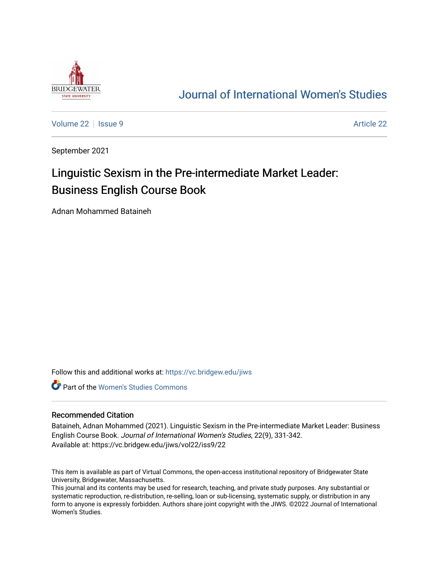

## [Journal of International Women's Studies](https://vc.bridgew.edu/jiws)

[Volume 22](https://vc.bridgew.edu/jiws/vol22) | [Issue 9](https://vc.bridgew.edu/jiws/vol22/iss9) [Article 22](https://vc.bridgew.edu/jiws/vol22/iss9/22) | Issue 9 Article 22 | Issue 9 Article 22 | Issue 9 Article 22 | Issue 9 Article 22

September 2021

# Linguistic Sexism in the Pre-intermediate Market Leader: Business English Course Book

Adnan Mohammed Bataineh

Follow this and additional works at: [https://vc.bridgew.edu/jiws](https://vc.bridgew.edu/jiws?utm_source=vc.bridgew.edu%2Fjiws%2Fvol22%2Fiss9%2F22&utm_medium=PDF&utm_campaign=PDFCoverPages)

**C** Part of the Women's Studies Commons

#### Recommended Citation

Bataineh, Adnan Mohammed (2021). Linguistic Sexism in the Pre-intermediate Market Leader: Business English Course Book. Journal of International Women's Studies, 22(9), 331-342. Available at: https://vc.bridgew.edu/jiws/vol22/iss9/22

This item is available as part of Virtual Commons, the open-access institutional repository of Bridgewater State University, Bridgewater, Massachusetts.

This journal and its contents may be used for research, teaching, and private study purposes. Any substantial or systematic reproduction, re-distribution, re-selling, loan or sub-licensing, systematic supply, or distribution in any form to anyone is expressly forbidden. Authors share joint copyright with the JIWS. ©2022 Journal of International Women's Studies.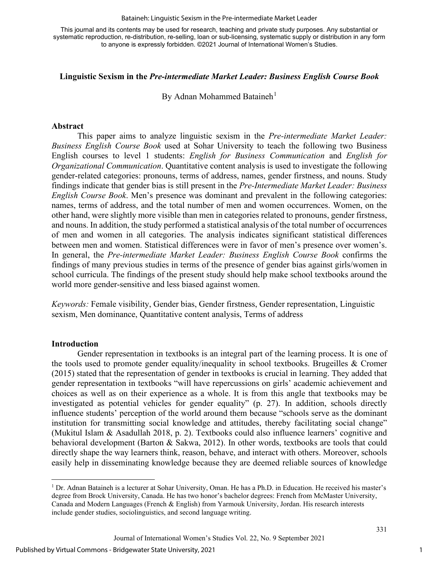#### Bataineh: Linguistic Sexism in the Pre-intermediate Market Leader

This journal and its contents may be used for research, teaching and private study purposes. Any substantial or systematic reproduction, re-distribution, re-selling, loan or sub-licensing, systematic supply or distribution in any form to anyone is expressly forbidden. ©2021 Journal of International Women's Studies.

#### **Linguistic Sexism in the** *Pre-intermediate Market Leader: Business English Course Book*

By Adnan Mohammed Bataineh<sup>[1](#page-1-0)</sup>

#### **Abstract**

This paper aims to analyze linguistic sexism in the *Pre-intermediate Market Leader: Business English Course Book* used at Sohar University to teach the following two Business English courses to level 1 students: *English for Business Communication* and *English for Organizational Communication*. Quantitative content analysis is used to investigate the following gender-related categories: pronouns, terms of address, names, gender firstness, and nouns. Study findings indicate that gender bias is still present in the *Pre-Intermediate Market Leader: Business English Course Book*. Men's presence was dominant and prevalent in the following categories: names, terms of address, and the total number of men and women occurrences. Women, on the other hand, were slightly more visible than men in categories related to pronouns, gender firstness, and nouns. In addition, the study performed a statistical analysis of the total number of occurrences of men and women in all categories. The analysis indicates significant statistical differences between men and women. Statistical differences were in favor of men's presence over women's. In general, the *Pre-intermediate Market Leader: Business English Course Book* confirms the findings of many previous studies in terms of the presence of gender bias against girls/women in school curricula. The findings of the present study should help make school textbooks around the world more gender-sensitive and less biased against women.

*Keywords:* Female visibility, Gender bias, Gender firstness, Gender representation, Linguistic sexism, Men dominance, Quantitative content analysis, Terms of address

#### **Introduction**

Gender representation in textbooks is an integral part of the learning process. It is one of the tools used to promote gender equality/inequality in school textbooks. Brugeilles & Cromer (2015) stated that the representation of gender in textbooks is crucial in learning. They added that gender representation in textbooks "will have repercussions on girls' academic achievement and choices as well as on their experience as a whole. It is from this angle that textbooks may be investigated as potential vehicles for gender equality" (p. 27). In addition, schools directly influence students' perception of the world around them because "schools serve as the dominant institution for transmitting social knowledge and attitudes, thereby facilitating social change" (Mukitul Islam & Asadullah 2018, p. 2). Textbooks could also influence learners' cognitive and behavioral development (Barton & Sakwa, 2012). In other words, textbooks are tools that could directly shape the way learners think, reason, behave, and interact with others. Moreover, schools easily help in disseminating knowledge because they are deemed reliable sources of knowledge

<span id="page-1-0"></span><sup>1</sup> Dr. Adnan Bataineh is a lecturer at Sohar University, Oman. He has a Ph.D. in Education. He received his master's degree from Brock University, Canada. He has two honor's bachelor degrees: French from McMaster University, Canada and Modern Languages (French & English) from Yarmouk University, Jordan. His research interests include gender studies, sociolinguistics, and second language writing.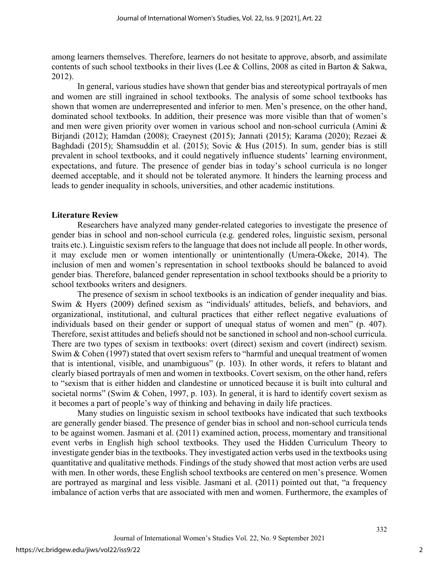among learners themselves. Therefore, learners do not hesitate to approve, absorb, and assimilate contents of such school textbooks in their lives (Lee & Collins, 2008 as cited in Barton & Sakwa, 2012).

In general, various studies have shown that gender bias and stereotypical portrayals of men and women are still ingrained in school textbooks. The analysis of some school textbooks has shown that women are underrepresented and inferior to men. Men's presence, on the other hand, dominated school textbooks. In addition, their presence was more visible than that of women's and men were given priority over women in various school and non-school curricula (Amini & Birjandi (2012); Hamdan (2008); Craeynest (2015); Jannati (2015); Karama (2020); Rezaei & Baghdadi (2015); Shamsuddin et al. (2015); Sovic & Hus (2015). In sum, gender bias is still prevalent in school textbooks, and it could negatively influence students' learning environment, expectations, and future. The presence of gender bias in today's school curricula is no longer deemed acceptable, and it should not be tolerated anymore. It hinders the learning process and leads to gender inequality in schools, universities, and other academic institutions.

#### **Literature Review**

Researchers have analyzed many gender-related categories to investigate the presence of gender bias in school and non-school curricula (e.g. gendered roles, linguistic sexism, personal traits etc.). Linguistic sexism refers to the language that does not include all people. In other words, it may exclude men or women intentionally or unintentionally (Umera-Okeke, 2014). The inclusion of men and women's representation in school textbooks should be balanced to avoid gender bias. Therefore, balanced gender representation in school textbooks should be a priority to school textbooks writers and designers.

The presence of sexism in school textbooks is an indication of gender inequality and bias. Swim & Hyers (2009) defined sexism as "individuals' attitudes, beliefs, and behaviors, and organizational, institutional, and cultural practices that either reflect negative evaluations of individuals based on their gender or support of unequal status of women and men" (p. 407). Therefore, sexist attitudes and beliefs should not be sanctioned in school and non-school curricula. There are two types of sexism in textbooks: overt (direct) sexism and covert (indirect) sexism. Swim & Cohen (1997) stated that overt sexism refers to "harmful and unequal treatment of women that is intentional, visible, and unambiguous" (p. 103). In other words, it refers to blatant and clearly biased portrayals of men and women in textbooks. Covert sexism, on the other hand, refers to "sexism that is either hidden and clandestine or unnoticed because it is built into cultural and societal norms" (Swim & Cohen, 1997, p. 103). In general, it is hard to identify covert sexism as it becomes a part of people's way of thinking and behaving in daily life practices.

Many studies on linguistic sexism in school textbooks have indicated that such textbooks are generally gender biased. The presence of gender bias in school and non-school curricula tends to be against women. Jasmani et al. (2011) examined action, process, momentary and transitional event verbs in English high school textbooks. They used the Hidden Curriculum Theory to investigate gender bias in the textbooks. They investigated action verbs used in the textbooks using quantitative and qualitative methods. Findings of the study showed that most action verbs are used with men. In other words, these English school textbooks are centered on men's presence. Women are portrayed as marginal and less visible. Jasmani et al. (2011) pointed out that, "a frequency imbalance of action verbs that are associated with men and women. Furthermore, the examples of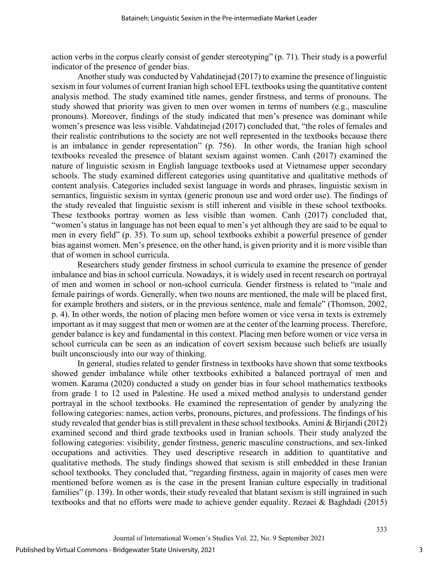action verbs in the corpus clearly consist of gender stereotyping" (p. 71). Their study is a powerful indicator of the presence of gender bias.

Another study was conducted by Vahdatinejad (2017) to examine the presence of linguistic sexism in four volumes of current Iranian high school EFL textbooks using the quantitative content analysis method. The study examined title names, gender firstness, and terms of pronouns. The study showed that priority was given to men over women in terms of numbers (e.g., masculine pronouns). Moreover, findings of the study indicated that men's presence was dominant while women's presence was less visible. Vahdatinejad (2017) concluded that, "the roles of females and their realistic contributions to the society are not well represented in the textbooks because there is an imbalance in gender representation" (p. 756). In other words, the Iranian high school textbooks revealed the presence of blatant sexism against women. Canh (2017) examined the nature of linguistic sexism in English language textbooks used at Vietnamese upper secondary schools. The study examined different categories using quantitative and qualitative methods of content analysis. Categories included sexist language in words and phrases, linguistic sexism in semantics, linguistic sexism in syntax (generic pronoun use and word order use). The findings of the study revealed that linguistic sexism is still inherent and visible in these school textbooks. These textbooks portray women as less visible than women. Canh (2017) concluded that, "women's status in language has not been equal to men's yet although they are said to be equal to men in every field" (p. 35). To sum up, school textbooks exhibit a powerful presence of gender bias against women. Men's presence, on the other hand, is given priority and it is more visible than that of women in school curricula.

Researchers study gender firstness in school curricula to examine the presence of gender imbalance and bias in school curricula. Nowadays, it is widely used in recent research on portrayal of men and women in school or non-school curricula. Gender firstness is related to "male and female pairings of words. Generally, when two nouns are mentioned, the male will be placed first, for example brothers and sisters, or in the previous sentence, male and female" (Thomson, 2002, p. 4). In other words, the notion of placing men before women or vice versa in texts is extremely important as it may suggest that men or women are at the center of the learning process. Therefore, gender balance is key and fundamental in this context. Placing men before women or vice versa in school curricula can be seen as an indication of covert sexism because such beliefs are usually built unconsciously into our way of thinking.

In general, studies related to gender firstness in textbooks have shown that some textbooks showed gender imbalance while other textbooks exhibited a balanced portrayal of men and women. Karama (2020) conducted a study on gender bias in four school mathematics textbooks from grade 1 to 12 used in Palestine. He used a mixed method analysis to understand gender portrayal in the school textbooks. He examined the representation of gender by analyzing the following categories: names, action verbs, pronouns, pictures, and professions. The findings of his study revealed that gender bias is still prevalent in these school textbooks. Amini & Birjandi (2012) examined second and third grade textbooks used in Iranian schools. Their study analyzed the following categories: visibility, gender firstness, generic masculine constructions, and sex-linked occupations and activities. They used descriptive research in addition to quantitative and qualitative methods. The study findings showed that sexism is still embedded in these Iranian school textbooks. They concluded that, "regarding firstness, again in majority of cases men were mentioned before women as is the case in the present Iranian culture especially in traditional families" (p. 139). In other words, their study revealed that blatant sexism is still ingrained in such textbooks and that no efforts were made to achieve gender equality. Rezaei & Baghdadi (2015)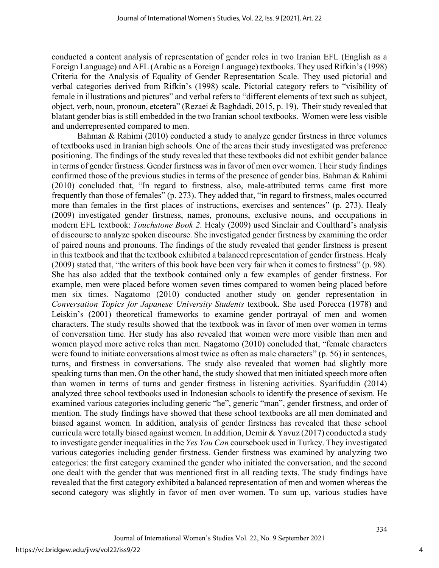conducted a content analysis of representation of gender roles in two Iranian EFL (English as a Foreign Language) and AFL (Arabic as a Foreign Language) textbooks. They used Rifkin's (1998) Criteria for the Analysis of Equality of Gender Representation Scale. They used pictorial and verbal categories derived from Rifkin's (1998) scale. Pictorial category refers to "visibility of female in illustrations and pictures" and verbal refers to "different elements of text such as subject, object, verb, noun, pronoun, etcetera" (Rezaei & Baghdadi, 2015, p. 19). Their study revealed that blatant gender bias is still embedded in the two Iranian school textbooks. Women were less visible and underrepresented compared to men.

Bahman & Rahimi (2010) conducted a study to analyze gender firstness in three volumes of textbooks used in Iranian high schools. One of the areas their study investigated was preference positioning. The findings of the study revealed that these textbooks did not exhibit gender balance in terms of gender firstness. Gender firstness was in favor of men over women. Their study findings confirmed those of the previous studies in terms of the presence of gender bias. Bahman & Rahimi (2010) concluded that, "In regard to firstness, also, male-attributed terms came first more frequently than those of females" (p. 273). They added that, "in regard to firstness, males occurred more than females in the first places of instructions, exercises and sentences" (p. 273). Healy (2009) investigated gender firstness, names, pronouns, exclusive nouns, and occupations in modern EFL textbook: *Touchstone Book 2*. Healy (2009) used Sinclair and Coulthard's analysis of discourse to analyze spoken discourse. She investigated gender firstness by examining the order of paired nouns and pronouns. The findings of the study revealed that gender firstness is present in this textbook and that the textbook exhibited a balanced representation of gender firstness. Healy (2009) stated that, "the writers of this book have been very fair when it comes to firstness" (p. 98). She has also added that the textbook contained only a few examples of gender firstness. For example, men were placed before women seven times compared to women being placed before men six times. Nagatomo (2010) conducted another study on gender representation in *Conversation Topics for Japanese University Students* textbook. She used Porecca (1978) and Leiskin's (2001) theoretical frameworks to examine gender portrayal of men and women characters. The study results showed that the textbook was in favor of men over women in terms of conversation time. Her study has also revealed that women were more visible than men and women played more active roles than men. Nagatomo (2010) concluded that, "female characters were found to initiate conversations almost twice as often as male characters" (p. 56) in sentences, turns, and firstness in conversations. The study also revealed that women had slightly more speaking turns than men. On the other hand, the study showed that men initiated speech more often than women in terms of turns and gender firstness in listening activities. Syarifuddin (2014) analyzed three school textbooks used in Indonesian schools to identify the presence of sexism. He examined various categories including generic "he", generic "man", gender firstness, and order of mention. The study findings have showed that these school textbooks are all men dominated and biased against women. In addition, analysis of gender firstness has revealed that these school curricula were totally biased against women. In addition, Demir & Yavuz (2017) conducted a study to investigate gender inequalities in the *Yes You Can* coursebook used in Turkey. They investigated various categories including gender firstness. Gender firstness was examined by analyzing two categories: the first category examined the gender who initiated the conversation, and the second one dealt with the gender that was mentioned first in all reading texts. The study findings have revealed that the first category exhibited a balanced representation of men and women whereas the second category was slightly in favor of men over women. To sum up, various studies have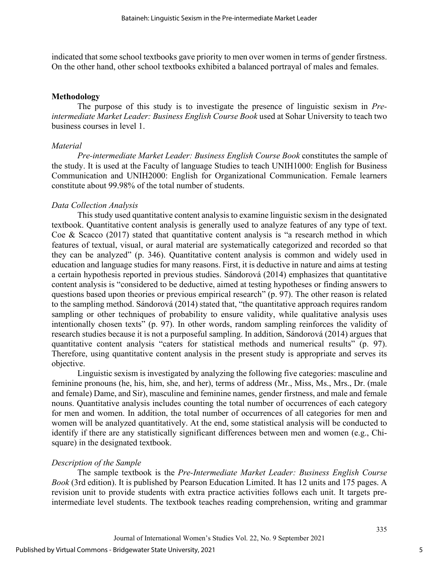indicated that some school textbooks gave priority to men over women in terms of gender firstness. On the other hand, other school textbooks exhibited a balanced portrayal of males and females.

#### **Methodology**

The purpose of this study is to investigate the presence of linguistic sexism in *Preintermediate Market Leader: Business English Course Book* used at Sohar University to teach two business courses in level 1.

#### *Material*

*Pre-intermediate Market Leader: Business English Course Book* constitutes the sample of the study. It is used at the Faculty of language Studies to teach UNIH1000: English for Business Communication and UNIH2000: English for Organizational Communication. Female learners constitute about 99.98% of the total number of students.

## *Data Collection Analysis*

This study used quantitative content analysis to examine linguistic sexism in the designated textbook. Quantitative content analysis is generally used to analyze features of any type of text. Coe & Scacco (2017) stated that quantitative content analysis is "a research method in which features of textual, visual, or aural material are systematically categorized and recorded so that they can be analyzed" (p. 346). Quantitative content analysis is common and widely used in education and language studies for many reasons. First, it is deductive in nature and aims at testing a certain hypothesis reported in previous studies. Sándorová (2014) emphasizes that quantitative content analysis is "considered to be deductive, aimed at testing hypotheses or finding answers to questions based upon theories or previous empirical research" (p. 97). The other reason is related to the sampling method. Sándorová (2014) stated that, "the quantitative approach requires random sampling or other techniques of probability to ensure validity, while qualitative analysis uses intentionally chosen texts" (p. 97). In other words, random sampling reinforces the validity of research studies because it is not a purposeful sampling. In addition, Sándorová (2014) argues that quantitative content analysis "caters for statistical methods and numerical results" (p. 97). Therefore, using quantitative content analysis in the present study is appropriate and serves its objective.

Linguistic sexism is investigated by analyzing the following five categories: masculine and feminine pronouns (he, his, him, she, and her), terms of address (Mr., Miss, Ms., Mrs., Dr. (male and female) Dame, and Sir), masculine and feminine names, gender firstness, and male and female nouns. Quantitative analysis includes counting the total number of occurrences of each category for men and women. In addition, the total number of occurrences of all categories for men and women will be analyzed quantitatively. At the end, some statistical analysis will be conducted to identify if there are any statistically significant differences between men and women (e.g., Chisquare) in the designated textbook.

## *Description of the Sample*

The sample textbook is the *Pre-Intermediate Market Leader: Business English Course Book* (3rd edition). It is published by Pearson Education Limited. It has 12 units and 175 pages. A revision unit to provide students with extra practice activities follows each unit. It targets preintermediate level students. The textbook teaches reading comprehension, writing and grammar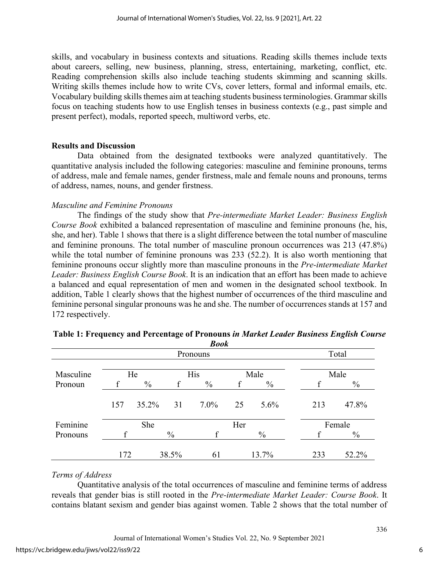skills, and vocabulary in business contexts and situations. Reading skills themes include texts about careers, selling, new business, planning, stress, entertaining, marketing, conflict, etc. Reading comprehension skills also include teaching students skimming and scanning skills. Writing skills themes include how to write CVs, cover letters, formal and informal emails, etc. Vocabulary building skills themes aim at teaching students business terminologies. Grammar skills focus on teaching students how to use English tenses in business contexts (e.g., past simple and present perfect), modals, reported speech, multiword verbs, etc.

## **Results and Discussion**

Data obtained from the designated textbooks were analyzed quantitatively. The quantitative analysis included the following categories: masculine and feminine pronouns, terms of address, male and female names, gender firstness, male and female nouns and pronouns, terms of address, names, nouns, and gender firstness.

## *Masculine and Feminine Pronouns*

The findings of the study show that *Pre-intermediate Market Leader: Business English Course Book* exhibited a balanced representation of masculine and feminine pronouns (he, his, she, and her). Table 1 shows that there is a slight difference between the total number of masculine and feminine pronouns. The total number of masculine pronoun occurrences was 213 (47.8%) while the total number of feminine pronouns was 233 (52.2). It is also worth mentioning that feminine pronouns occur slightly more than masculine pronouns in the *Pre-intermediate Market Leader: Business English Course Book*. It is an indication that an effort has been made to achieve a balanced and equal representation of men and women in the designated school textbook. In addition, Table 1 clearly shows that the highest number of occurrences of the third masculine and feminine personal singular pronouns was he and she. The number of occurrences stands at 157 and 172 respectively.

|           |     |               |               | DUUK          |      |               |     |               |  |
|-----------|-----|---------------|---------------|---------------|------|---------------|-----|---------------|--|
|           |     |               |               | Pronouns      |      |               |     | Total         |  |
|           |     |               |               |               |      |               |     |               |  |
| Masculine | He  |               |               | <b>His</b>    | Male |               |     | Male          |  |
| Pronoun   |     | $\frac{0}{0}$ |               | $\frac{0}{0}$ |      | $\frac{0}{0}$ |     | $\frac{0}{0}$ |  |
|           | 157 | 35.2%         | 31            | $7.0\%$       | 25   | $5.6\%$       | 213 | 47.8%         |  |
| Feminine  | She |               |               | Her           |      | Female        |     |               |  |
| Pronouns  |     |               | $\frac{0}{0}$ | f             |      | $\%$          |     | $\frac{0}{0}$ |  |
|           | 172 |               | 38.5%         | 61            |      | 13.7%         | 233 | 52.2%         |  |

#### **Table 1: Frequency and Percentage of Pronouns** *in Market Leader Business English Course Book*

## *Terms of Address*

Quantitative analysis of the total occurrences of masculine and feminine terms of address reveals that gender bias is still rooted in the *Pre-intermediate Market Leader: Course Book*. It contains blatant sexism and gender bias against women. Table 2 shows that the total number of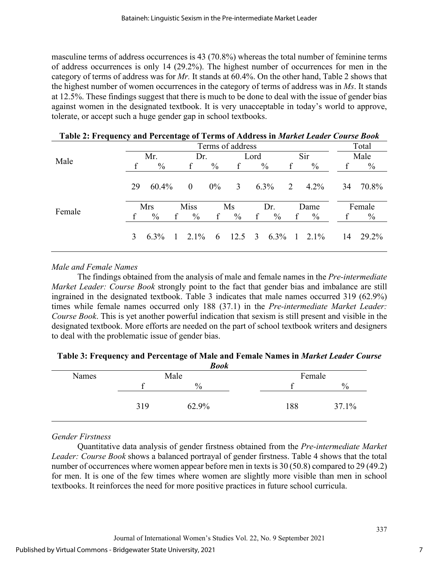masculine terms of address occurrences is 43 (70.8%) whereas the total number of feminine terms of address occurrences is only 14 (29.2%). The highest number of occurrences for men in the category of terms of address was for *Mr.* It stands at 60.4%. On the other hand, Table 2 shows that the highest number of women occurrences in the category of terms of address was in *Ms*. It stands at 12.5%. These findings suggest that there is much to be done to deal with the issue of gender bias against women in the designated textbook. It is very unacceptable in today's world to approve, tolerate, or accept such a huge gender gap in school textbooks.

| Table 2. Prequency and Ferculage of Terms of Address in <i>murkel Ledger Course Dook</i> |                  |               |  |               |               |      |              |                                                                       |              |               |       |               |  |
|------------------------------------------------------------------------------------------|------------------|---------------|--|---------------|---------------|------|--------------|-----------------------------------------------------------------------|--------------|---------------|-------|---------------|--|
|                                                                                          | Terms of address |               |  |               |               |      |              |                                                                       |              |               | Total |               |  |
|                                                                                          | Mr.              |               |  | Dr.           |               | Lord |              |                                                                       | Sir          |               | Male  |               |  |
| Male                                                                                     |                  | $\%$          |  | f             | $\frac{0}{0}$ | f    |              | $\frac{0}{0}$                                                         | f            | $\%$          | f     | $\frac{0}{0}$ |  |
|                                                                                          | 29               | $60.4\%$      |  | $\theta$      | $0\%$         | 3    |              | $6.3\%$                                                               | 2            | $4.2\%$       | 34    | 70.8%         |  |
|                                                                                          |                  | <b>Mrs</b>    |  | <b>Miss</b>   |               | Ms   |              | Dr.                                                                   |              | Dame          |       | Female        |  |
| Female                                                                                   |                  | $\frac{0}{0}$ |  | $\frac{0}{0}$ | $\mathbf{f}$  | $\%$ | $\mathbf{f}$ | $\frac{0}{0}$                                                         | $\mathbf{f}$ | $\frac{0}{0}$ |       | $\frac{0}{0}$ |  |
|                                                                                          | 3                | $6.3\%$       |  |               |               |      |              | $1\quad 2.1\% \quad 6\quad 12.5\quad 3\quad 6.3\% \quad 1\quad 2.1\%$ |              |               | 14    | 29.2%         |  |

**Table 2: Frequency and Percentage of Terms of Address in** *Market Leader Course Book*

## *Male and Female Names*

The findings obtained from the analysis of male and female names in the *Pre-intermediate Market Leader: Course Book* strongly point to the fact that gender bias and imbalance are still ingrained in the designated textbook. Table 3 indicates that male names occurred 319 (62.9%) times while female names occurred only 188 (37.1) in the *Pre-intermediate Market Leader: Course Book*. This is yet another powerful indication that sexism is still present and visible in the designated textbook. More efforts are needed on the part of school textbook writers and designers to deal with the problematic issue of gender bias.

| <b>Book</b> |     |       |        |       |  |  |  |  |  |  |
|-------------|-----|-------|--------|-------|--|--|--|--|--|--|
| Names       |     | Male  | Female |       |  |  |  |  |  |  |
|             |     | $\%$  |        | $\%$  |  |  |  |  |  |  |
|             | 319 | 62.9% | 188    | 37.1% |  |  |  |  |  |  |

**Table 3: Frequency and Percentage of Male and Female Names in** *Market Leader Course* 

## *Gender Firstness*

Quantitative data analysis of gender firstness obtained from the *Pre-intermediate Market Leader: Course Book* shows a balanced portrayal of gender firstness. Table 4 shows that the total number of occurrences where women appear before men in texts is  $30 (50.8)$  compared to  $29 (49.2)$ for men. It is one of the few times where women are slightly more visible than men in school textbooks. It reinforces the need for more positive practices in future school curricula.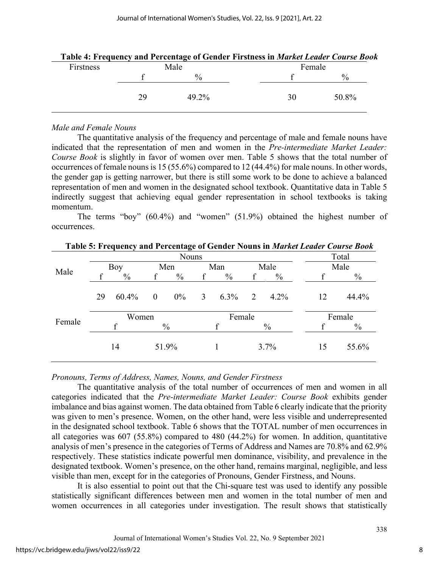|           |    | Table 4: Frequency and Percentage of Gender Firstness in <i>Market Leader Course Book</i> |        |               |  |
|-----------|----|-------------------------------------------------------------------------------------------|--------|---------------|--|
| Firstness |    | Male                                                                                      | Female |               |  |
|           |    | $^{0/0}$                                                                                  |        | $\frac{0}{0}$ |  |
|           | 29 | 49.2%                                                                                     | 30     | 50.8%         |  |

|  |  |  | Table 4: Frequency and Percentage of Gender Firstness in Market Leader Course Book |  |
|--|--|--|------------------------------------------------------------------------------------|--|
|--|--|--|------------------------------------------------------------------------------------|--|

#### *Male and Female Nouns*

The quantitative analysis of the frequency and percentage of male and female nouns have indicated that the representation of men and women in the *Pre-intermediate Market Leader: Course Book* is slightly in favor of women over men. Table 5 shows that the total number of occurrences of female nouns is 15 (55.6%) compared to 12 (44.4%) for male nouns. In other words, the gender gap is getting narrower, but there is still some work to be done to achieve a balanced representation of men and women in the designated school textbook. Quantitative data in Table 5 indirectly suggest that achieving equal gender representation in school textbooks is taking momentum.

The terms "boy" (60.4%) and "women" (51.9%) obtained the highest number of occurrences.

|        |    |               |                |               |                |               |      |               |    | Table 5: Frequency and Percentage of Gender Nouns in <i>Market Leader Course Book</i> |
|--------|----|---------------|----------------|---------------|----------------|---------------|------|---------------|----|---------------------------------------------------------------------------------------|
|        |    |               | Total          |               |                |               |      |               |    |                                                                                       |
| Male   |    | Boy           | Men            |               | Man            |               | Male |               |    | Male                                                                                  |
|        |    | $\frac{0}{0}$ |                | $\%$          | f              | $\frac{0}{0}$ | f    | $\frac{0}{0}$ |    | $\frac{0}{0}$                                                                         |
|        | 29 | 60.4%         | $\overline{0}$ | $0\%$         | $\mathfrak{Z}$ | $6.3\%$       | 2    | $4.2\%$       | 12 | 44.4%                                                                                 |
|        |    | Women         |                |               | Female         |               |      | Female        |    |                                                                                       |
| Female |    | f             |                | $\frac{0}{0}$ |                |               |      | $\%$          |    | $\frac{0}{0}$                                                                         |
|        |    | 14            |                | 51.9%         |                |               |      | 3.7%          | 15 | 55.6%                                                                                 |

**Table 5: Frequency and Percentage of Gender Nouns in** *Market Leader Course Book*

*Pronouns, Terms of Address, Names, Nouns, and Gender Firstness*

The quantitative analysis of the total number of occurrences of men and women in all categories indicated that the *Pre-intermediate Market Leader: Course Book* exhibits gender imbalance and bias against women. The data obtained from Table 6 clearly indicate that the priority was given to men's presence. Women, on the other hand, were less visible and underrepresented in the designated school textbook. Table 6 shows that the TOTAL number of men occurrences in all categories was 607 (55.8%) compared to 480 (44.2%) for women. In addition, quantitative analysis of men's presence in the categories of Terms of Address and Names are 70.8% and 62.9% respectively. These statistics indicate powerful men dominance, visibility, and prevalence in the designated textbook. Women's presence, on the other hand, remains marginal, negligible, and less visible than men, except for in the categories of Pronouns, Gender Firstness, and Nouns.

It is also essential to point out that the Chi-square test was used to identify any possible statistically significant differences between men and women in the total number of men and women occurrences in all categories under investigation. The result shows that statistically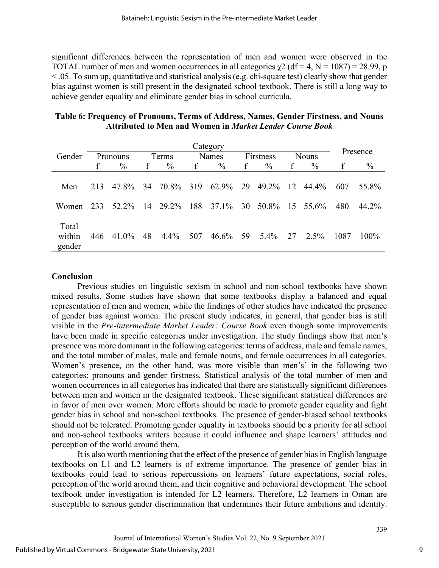significant differences between the representation of men and women were observed in the TOTAL number of men and women occurrences in all categories  $\chi$ 2 (df = 4, N = 1087) = 28.99, p < .05. To sum up, quantitative and statistical analysis (e.g. chi-square test) clearly show that gender bias against women is still present in the designated school textbook. There is still a long way to achieve gender equality and eliminate gender bias in school curricula.

| Table 6: Frequency of Pronouns, Terms of Address, Names, Gender Firstness, and Nouns |
|--------------------------------------------------------------------------------------|
| <b>Attributed to Men and Women in Market Leader Course Book</b>                      |

|                           |     |               |     |               |              | Category |             |                |    |               |      |          |
|---------------------------|-----|---------------|-----|---------------|--------------|----------|-------------|----------------|----|---------------|------|----------|
| Gender                    |     | Pronouns      |     | Terms         |              | Names    |             | Firstness      |    | <b>Nouns</b>  |      | Presence |
|                           | f   | $\frac{0}{0}$ | f   | $\frac{0}{0}$ | $\mathbf{f}$ | $\%$     | $\mathbf f$ | $\frac{0}{0}$  | f  | $\frac{0}{0}$ | f    | $\%$     |
| Men                       | 213 | 47.8%         | -34 | 70.8% 319     |              | 62.9%    | 29          | 49.2%          | 12 | 44.4%         | 607  | 55.8%    |
| Women                     | 233 | 52.2%         | 14  | 29.2% 188     |              | 37.1%    | 30          | 50.8% 15 55.6% |    |               | 480  | 44.2%    |
| Total<br>within<br>gender | 446 | 41.0%         | 48  | $4.4\%$       | 507          | 46.6%    | - 59        | 5.4%           | 27 | $2.5\%$       | 1087 | $100\%$  |

#### **Conclusion**

Previous studies on linguistic sexism in school and non-school textbooks have shown mixed results. Some studies have shown that some textbooks display a balanced and equal representation of men and women, while the findings of other studies have indicated the presence of gender bias against women. The present study indicates, in general, that gender bias is still visible in the *Pre-intermediate Market Leader: Course Book* even though some improvements have been made in specific categories under investigation. The study findings show that men's presence was more dominant in the following categories: terms of address, male and female names, and the total number of males, male and female nouns, and female occurrences in all categories. Women's presence, on the other hand, was more visible than men's' in the following two categories: pronouns and gender firstness*.* Statistical analysis of the total number of men and women occurrences in all categories has indicated that there are statistically significant differences between men and women in the designated textbook. These significant statistical differences are in favor of men over women. More efforts should be made to promote gender equality and fight gender bias in school and non-school textbooks. The presence of gender-biased school textbooks should not be tolerated. Promoting gender equality in textbooks should be a priority for all school and non-school textbooks writers because it could influence and shape learners' attitudes and perception of the world around them.

It is also worth mentioning that the effect of the presence of gender bias in English language textbooks on L1 and L2 learners is of extreme importance. The presence of gender bias in textbooks could lead to serious repercussions on learners' future expectations, social roles, perception of the world around them, and their cognitive and behavioral development. The school textbook under investigation is intended for L2 learners. Therefore, L2 learners in Oman are susceptible to serious gender discrimination that undermines their future ambitions and identity.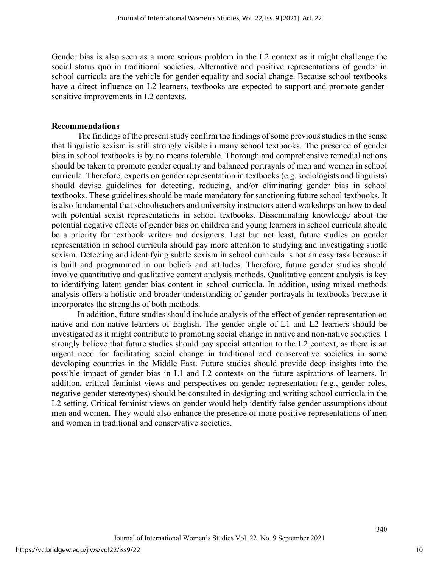Gender bias is also seen as a more serious problem in the L2 context as it might challenge the social status quo in traditional societies. Alternative and positive representations of gender in school curricula are the vehicle for gender equality and social change. Because school textbooks have a direct influence on L2 learners, textbooks are expected to support and promote gendersensitive improvements in L2 contexts.

#### **Recommendations**

The findings of the present study confirm the findings of some previous studies in the sense that linguistic sexism is still strongly visible in many school textbooks. The presence of gender bias in school textbooks is by no means tolerable. Thorough and comprehensive remedial actions should be taken to promote gender equality and balanced portrayals of men and women in school curricula. Therefore, experts on gender representation in textbooks (e.g. sociologists and linguists) should devise guidelines for detecting, reducing, and/or eliminating gender bias in school textbooks. These guidelines should be made mandatory for sanctioning future school textbooks. It is also fundamental that schoolteachers and university instructors attend workshops on how to deal with potential sexist representations in school textbooks. Disseminating knowledge about the potential negative effects of gender bias on children and young learners in school curricula should be a priority for textbook writers and designers. Last but not least, future studies on gender representation in school curricula should pay more attention to studying and investigating subtle sexism. Detecting and identifying subtle sexism in school curricula is not an easy task because it is built and programmed in our beliefs and attitudes. Therefore, future gender studies should involve quantitative and qualitative content analysis methods. Qualitative content analysis is key to identifying latent gender bias content in school curricula. In addition, using mixed methods analysis offers a holistic and broader understanding of gender portrayals in textbooks because it incorporates the strengths of both methods.

In addition, future studies should include analysis of the effect of gender representation on native and non-native learners of English. The gender angle of L1 and L2 learners should be investigated as it might contribute to promoting social change in native and non-native societies. I strongly believe that future studies should pay special attention to the L2 context, as there is an urgent need for facilitating social change in traditional and conservative societies in some developing countries in the Middle East. Future studies should provide deep insights into the possible impact of gender bias in L1 and L2 contexts on the future aspirations of learners. In addition, critical feminist views and perspectives on gender representation (e.g., gender roles, negative gender stereotypes) should be consulted in designing and writing school curricula in the L2 setting. Critical feminist views on gender would help identify false gender assumptions about men and women. They would also enhance the presence of more positive representations of men and women in traditional and conservative societies.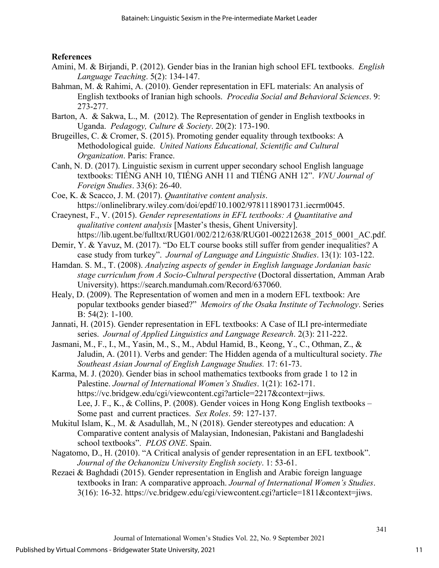## **References**

- Amini, M. & Birjandi, P. (2012). Gender bias in the Iranian high school EFL textbooks. *English Language Teaching*. 5(2): 134-147.
- Bahman, M. & Rahimi, A. (2010). Gender representation in EFL materials: An analysis of English textbooks of Iranian high schools. *Procedia Social and Behavioral Sciences*. 9: 273-277.
- Barton, A. & Sakwa, L., M. (2012). The Representation of gender in English textbooks in Uganda. *Pedagogy, Culture & Society*. 20(2): 173-190.
- Brugeilles, C. & Cromer, S. (2015). Promoting gender equality through textbooks: A Methodological guide. *United Nations Educational, Scientific and Cultural Organization*. Paris: France.
- Canh, N. D. (2017). Linguistic sexism in current upper secondary school English language textbooks: TIẾNG ANH 10, TIẾNG ANH 11 and TIẾNG ANH 12". *VNU Journal of Foreign Studies*. 33(6): 26-40.
- Coe, K. & Scacco, J. M. (2017). *Quantitative content analysis*. https://onlinelibrary.wiley.com/doi/epdf/10.1002/9781118901731.iecrm0045.
- Craeynest, F., V. (2015). *Gender representations in EFL textbooks: A Quantitative and qualitative content analysis* [Master's thesis, Ghent University]. https://lib.ugent.be/fulltxt/RUG01/002/212/638/RUG01-002212638 2015 0001 AC.pdf.
- Demir, Y. & Yavuz, M. (2017). "Do ELT course books still suffer from gender inequalities? A case study from turkey". *Journal of Language and Linguistic Studies*. 13(1): 103-122.
- Hamdan. S. M., T. (2008). *Analyzing aspects of gender in English language Jordanian basic stage curriculum from A Socio-Cultural perspective* (Doctoral dissertation, Amman Arab University). https://search.mandumah.com/Record/637060.
- Healy, D. (2009). The Representation of women and men in a modern EFL textbook: Are popular textbooks gender biased?" *Memoirs of the Osaka Institute of Technology*. Series B: 54(2): 1-100.
- Jannati, H. (2015). Gender representation in EFL textbooks: A Case of ILI pre-intermediate series. *Journal of Applied Linguistics and Language Research*. 2(3): 211-222.
- Jasmani, M., F., I., M., Yasin, M., S., M., Abdul Hamid, B., Keong, Y., C., Othman, Z., & Jaludin, A. (2011). Verbs and gender: The Hidden agenda of a multicultural society. *The Southeast Asian Journal of English Language Studies.* 17: 61-73.
- Karma, M. J. (2020). Gender bias in school mathematics textbooks from grade 1 to 12 in Palestine. *Journal of International Women's Studies*. 1(21): 162-171. https://vc.bridgew.edu/cgi/viewcontent.cgi?article=2217&context=jiws. Lee, J. F., K., & Collins, P. (2008). Gender voices in Hong Kong English textbooks – Some past and current practices. *Sex Roles*. 59: 127-137.
- Mukitul Islam, K., M. & Asadullah, M., N (2018). Gender stereotypes and education: A Comparative content analysis of Malaysian, Indonesian, Pakistani and Bangladeshi school textbooks". *PLOS ONE*. Spain.
- Nagatomo, D., H. (2010). "A Critical analysis of gender representation in an EFL textbook". *Journal of the Ochanonizu University English society*. 1: 53-61.
- Rezaei & Baghdadi (2015). Gender representation in English and Arabic foreign language textbooks in Iran: A comparative approach. *Journal of International Women's Studies*. 3(16): 16-32. https://vc.bridgew.edu/cgi/viewcontent.cgi?article=1811&context=jiws.